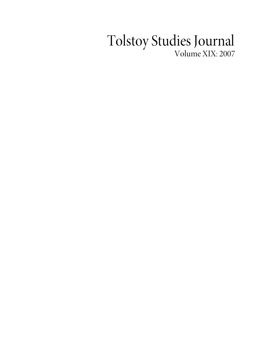## Tolstoy Studies Journal Volume XIX: 2007